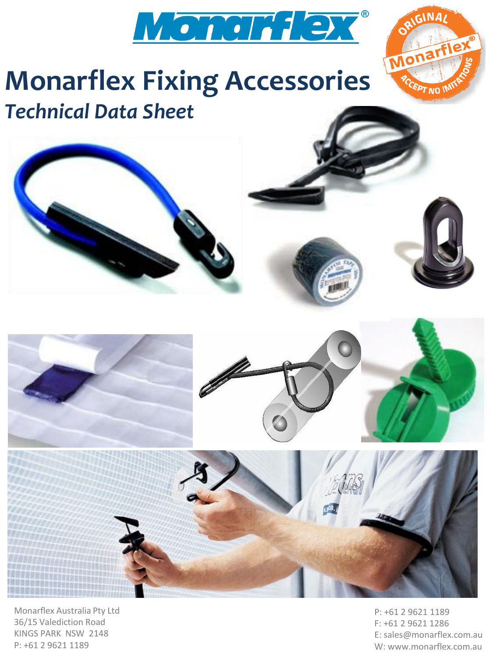

## **Monarflex Fixing Accessories** *Technical Data Sheet*









Monarflex Australia Pty Ltd 36/15 Valediction Road KINGS PARK NSW 2148 P: +61 2 9621 1189

P: +61 2 9621 1189 F: +61 2 9621 1286 E: sales@monarflex.com.au W: www.monarflex.com.au